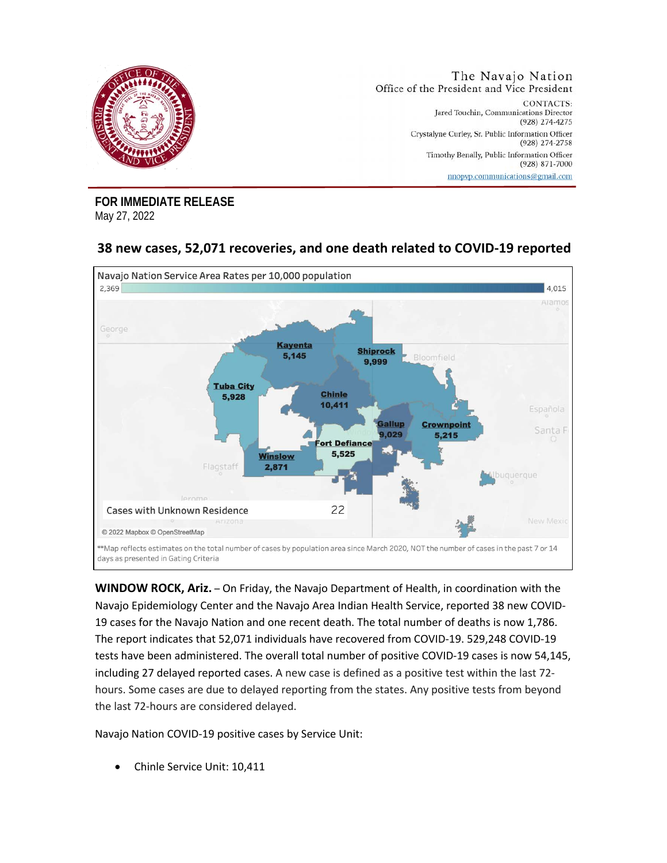

**FOR IMMEDIATE RELEASE**  May 27, 2022

## **38 new cases, 52,071 recoveries, and one death related to COVID-19 reported**



**WINDOW ROCK, Ariz.** – On Friday, the Navajo Department of Health, in coordination with the Navajo Epidemiology Center and the Navajo Area Indian Health Service, reported 38 new COVID-19 cases for the Navajo Nation and one recent death. The total number of deaths is now 1,786. The report indicates that 52,071 individuals have recovered from COVID-19. 529,248 COVID-19 tests have been administered. The overall total number of positive COVID-19 cases is now 54,145, including 27 delayed reported cases. A new case is defined as a positive test within the last 72 hours. Some cases are due to delayed reporting from the states. Any positive tests from beyond the last 72-hours are considered delayed.

Navajo Nation COVID-19 positive cases by Service Unit:

• Chinle Service Unit: 10,411